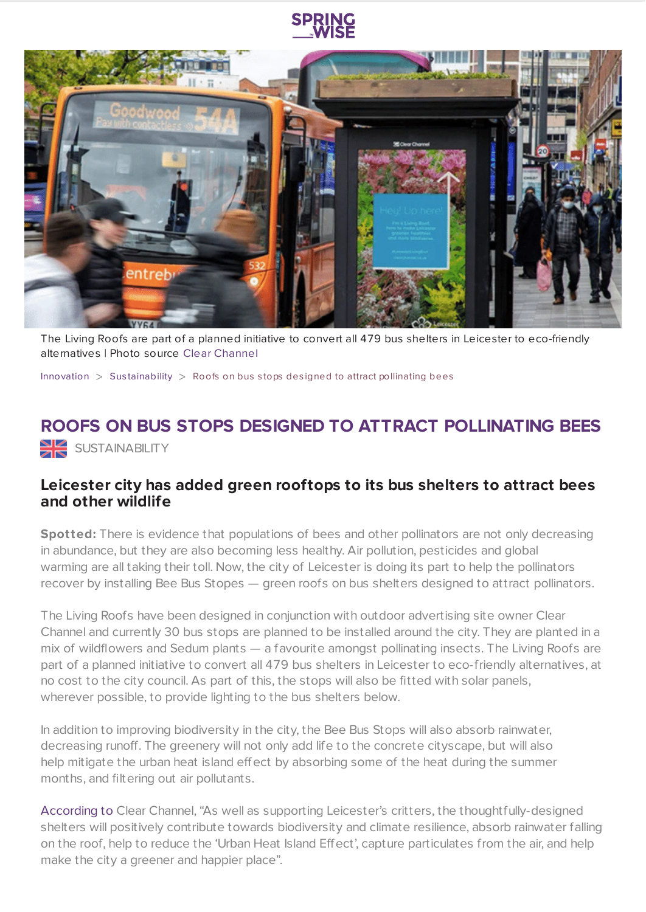



The Living Roofs are part of a planned initiative to convert all 479 bus shelters in Leicester to eco-friendly alternatives | Photo source Clear [Channel](https://www.clearchannel.co.uk/)

[Innovation](https://www.springwise.com/search?type=innovation)  $>$  Sus[tainability](https://www.springwise.com/search?type=innovation§or=sustainability)  $>$  Roofs on bus stops designed to attract pollinating bees

## **ROOFS ON BUS STOPS DESIGNED TO ATTRACT POLLINATING BEES** SUSTAINABILITY

## **Leicester city has added green rooftops to its bus shelters to attract bees and other wildlife**

**Spotted:** There is evidence that populations of bees and other pollinators are not only decreasing in abundance, but they are also becoming less healthy. Air pollution, pesticides and global warming are all taking their toll. Now, the city of Leicester is doing its part to help the pollinators recover by installing Bee Bus Stopes — green roofs on bus shelters designed to attract pollinators.

The Living Roofs have been designed in conjunction with outdoor advertising site owner Clear Channel and currently 30 bus stops are planned to be installed around the city. They are planted in a mix of wildflowers and Sedum plants — a favourite amongst pollinating insects. The Living Roofs are part of a planned initiative to convert all 479 bus shelters in Leicester to eco-friendly alternatives, at no cost to the city council. As part of this, the stops will also be fitted with solar panels, wherever possible, to provide lighting to the bus shelters below.

In addition to improving biodiversity in the city, the Bee Bus Stops will also absorb rainwater, decreasing runoff. The greenery will not only add life to the concrete cityscape, but will also help mitigate the urban heat island effect by absorbing some of the heat during the summer months, and filtering out air pollutants.

[According](https://www.yankodesign.com/2021/07/02/these-bee-friendly-living-roofs-on-the-leicester-city-bus-stops-is-part-of-their-goal-to-become-carbon-neutral-by-2030/) to Clear Channel, "As well as supporting Leicester's critters, the thoughtfully-designed shelters will positively contribute towards biodiversity and climate resilience, absorb rainwater falling on the roof, help to reduce the 'Urban Heat Island Effect', capture particulates from the air, and help make the city a greener and happier place".